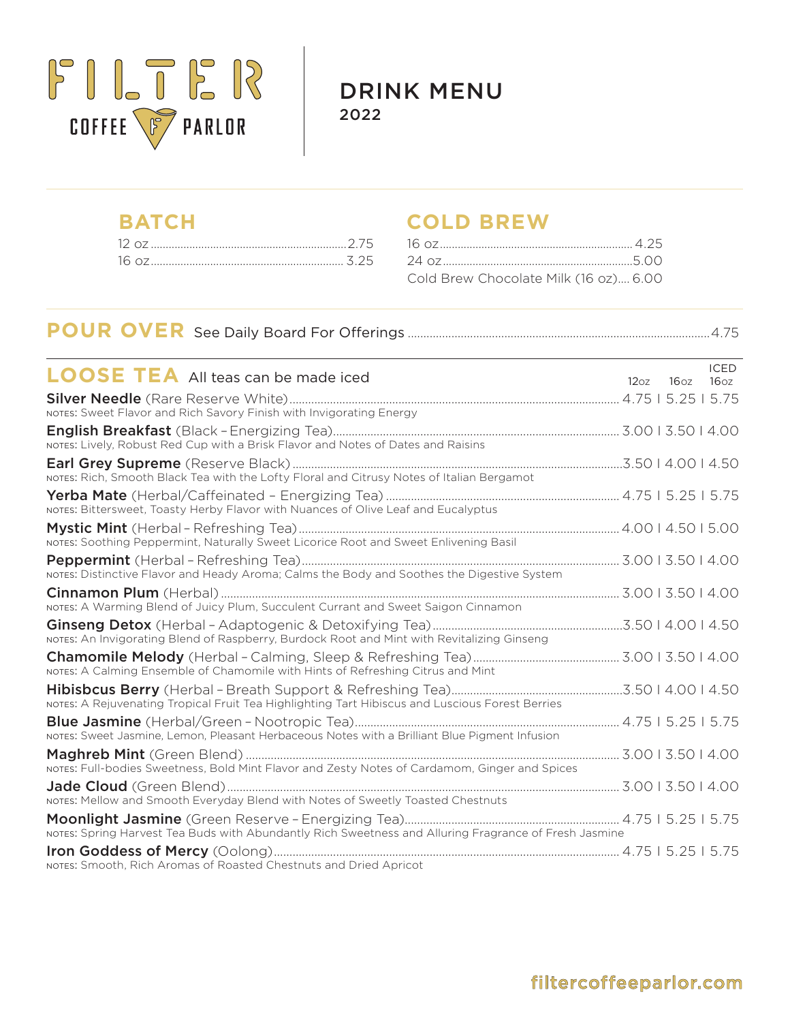

DRINK MENU 2022

# **BATCH COLD BREW**

| Cold Brew Chocolate Milk (16 oz) 6.00 |  |
|---------------------------------------|--|

# **POUR OVER** See Daily Board For Offerings .................................................................................................4.75

| <b>LOOSE TEA</b> All teas can be made iced                                                            | 12 <sub>oz</sub> | 16 <sub>oz</sub> | <b>ICED</b><br>16 <sub>oz</sub> |
|-------------------------------------------------------------------------------------------------------|------------------|------------------|---------------------------------|
|                                                                                                       |                  |                  |                                 |
| NOTES: Sweet Flavor and Rich Savory Finish with Invigorating Energy                                   |                  |                  |                                 |
| NOTES: Lively, Robust Red Cup with a Brisk Flavor and Notes of Dates and Raisins                      |                  |                  |                                 |
| NOTES: Rich, Smooth Black Tea with the Lofty Floral and Citrusy Notes of Italian Bergamot             |                  |                  |                                 |
| NOTES: Bittersweet, Toasty Herby Flavor with Nuances of Olive Leaf and Eucalyptus                     |                  |                  |                                 |
| NOTES: Soothing Peppermint, Naturally Sweet Licorice Root and Sweet Enlivening Basil                  |                  |                  |                                 |
| NOTES: Distinctive Flavor and Heady Aroma; Calms the Body and Soothes the Digestive System            |                  |                  |                                 |
| NOTES: A Warming Blend of Juicy Plum, Succulent Currant and Sweet Saigon Cinnamon                     |                  |                  |                                 |
| NOTES: An Invigorating Blend of Raspberry, Burdock Root and Mint with Revitalizing Ginseng            |                  |                  |                                 |
| NOTES: A Calming Ensemble of Chamomile with Hints of Refreshing Citrus and Mint                       |                  |                  |                                 |
| NOTES: A Rejuvenating Tropical Fruit Tea Highlighting Tart Hibiscus and Luscious Forest Berries       |                  |                  |                                 |
| NOTES: Sweet Jasmine, Lemon, Pleasant Herbaceous Notes with a Brilliant Blue Pigment Infusion         |                  |                  |                                 |
| NOTES: Full-bodies Sweetness, Bold Mint Flavor and Zesty Notes of Cardamom, Ginger and Spices         |                  |                  |                                 |
| NOTES: Mellow and Smooth Everyday Blend with Notes of Sweetly Toasted Chestnuts                       |                  |                  |                                 |
| NOTES: Spring Harvest Tea Buds with Abundantly Rich Sweetness and Alluring Fragrance of Fresh Jasmine |                  |                  |                                 |
| NOTES: Smooth. Rich Aromas of Roasted Chestnuts and Dried Apricot                                     |                  |                  |                                 |